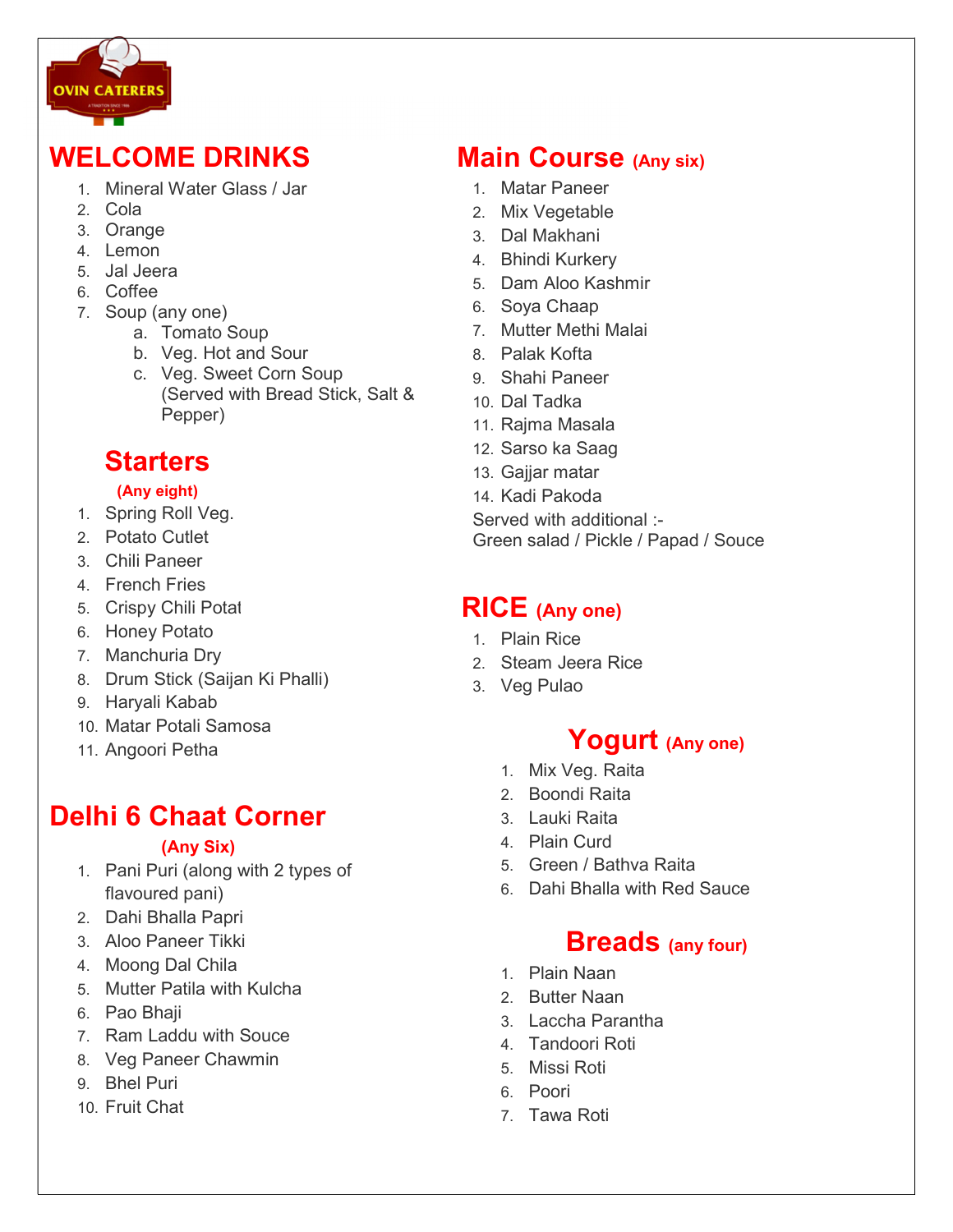

## WELCOME DRINKS

- 1. Mineral Water Glass / Jar
- 2. Cola
- 3. Orange
- 4. Lemon
- 5. Jal Jeera
- 6. Coffee
- 7. Soup (any one)
	- a. Tomato Soup
	- b. Veg. Hot and Sour
	- c. Veg. Sweet Corn Soup (Served with Bread Stick, Salt & Pepper)

#### Starters

#### (Any eight)

- 1. Spring Roll Veg.
- 2. Potato Cutlet
- 3. Chili Paneer
- 4. French Fries
- 5. Crispy Chili Potat
- 6. Honey Potato
- 7. Manchuria Dry
- 8. Drum Stick (Saijan Ki Phalli)
- 9. Haryali Kabab
- 10. Matar Potali Samosa
- 11. Angoori Petha

# Delhi 6 Chaat Corner

#### (Any Six)

- 1. Pani Puri (along with 2 types of flavoured pani)
- 2. Dahi Bhalla Papri
- 3. Aloo Paneer Tikki
- 4. Moong Dal Chila
- 5. Mutter Patila with Kulcha
- 6. Pao Bhaji
- 7. Ram Laddu with Souce
- 8. Veg Paneer Chawmin
- 9. Bhel Puri
- 10. Fruit Chat

### **Main Course (Any six)**

- 1. Matar Paneer
- 2. Mix Vegetable
- 3. Dal Makhani
- 4. Bhindi Kurkery
- 5. Dam Aloo Kashmir
- 6. Soya Chaap
- 7. Mutter Methi Malai
- 8. Palak Kofta
	- 9. Shahi Paneer
	- 10. Dal Tadka
	- 11. Rajma Masala
	- 12. Sarso ka Saag
	- 13. Gaijar matar
	- 14. Kadi Pakoda

Served with additional :- Green salad / Pickle / Papad / Souce

#### RICE (Any one)

- 1. Plain Rice
- 2. Steam Jeera Rice
- 3. Veg Pulao

## Yogurt (Any one)

- 1. Mix Veg. Raita
- 2. Boondi Raita
- 3. Lauki Raita
- 4. Plain Curd
- 5. Green / Bathva Raita
- 6. Dahi Bhalla with Red Sauce

#### **Breads** (any four)

- 1. Plain Naan
- 2. Butter Naan
- 3. Laccha Parantha
- 4. Tandoori Roti
- 5. Missi Roti
- 6. Poori
- 7. Tawa Roti